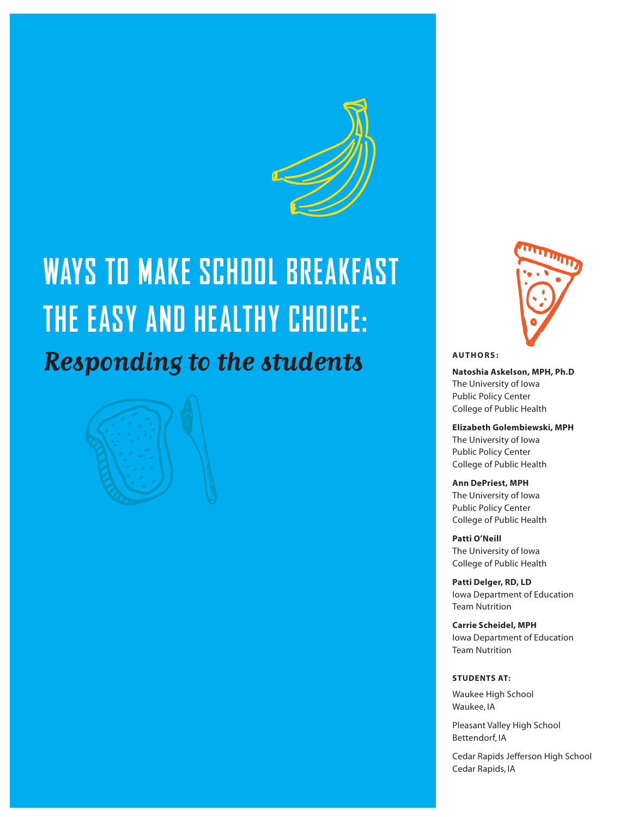

# **WAYS TO MAKE SCHOOL BREAKFAST THE EASY AND HEALTHY CHOICE: Responding to the students**





**Natoshia Askelson, MPh, Ph.D**  The University of Iowa Public Policy Center College of Public Health

**Elizabeth Golembiewski, MPh**  The University of Iowa Public Policy Center College of Public Health

**Ann DePriest, MPh** 

The University of Iowa Public Policy Center College of Public Health

**Patti o'Neill** 

The University of Iowa College of Public Health

**Patti Delger, RD, LD** Iowa Department of Education Team Nutrition

**Carrie scheidel, MPh**  Iowa Department of Education Team Nutrition

#### **STUDENTS AT:**

Waukee High School Waukee, IA

Pleasant Valley High School Bettendorf, IA

Cedar Rapids Jefferson High School Cedar Rapids, IA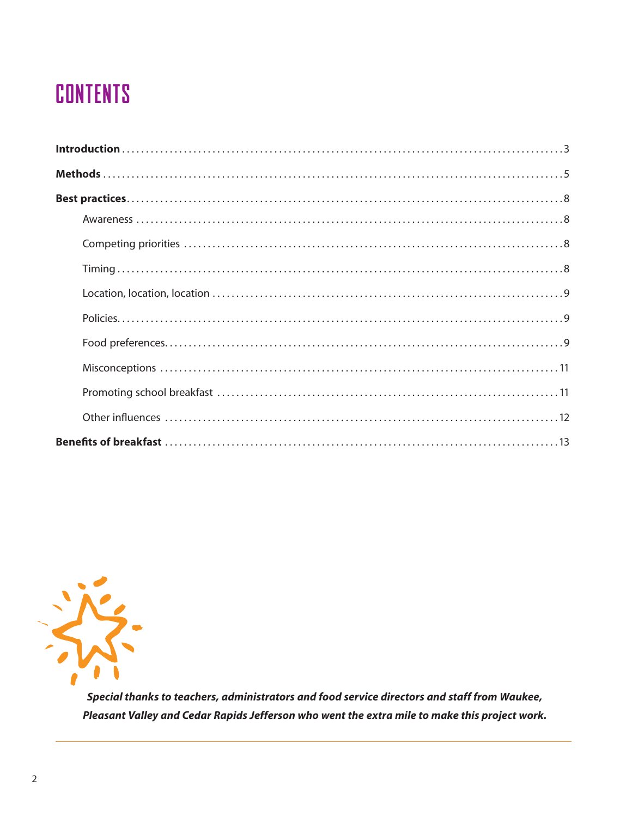## **CONTENTS**



Special thanks to teachers, administrators and food service directors and staff from Waukee, Pleasant Valley and Cedar Rapids Jefferson who went the extra mile to make this project work.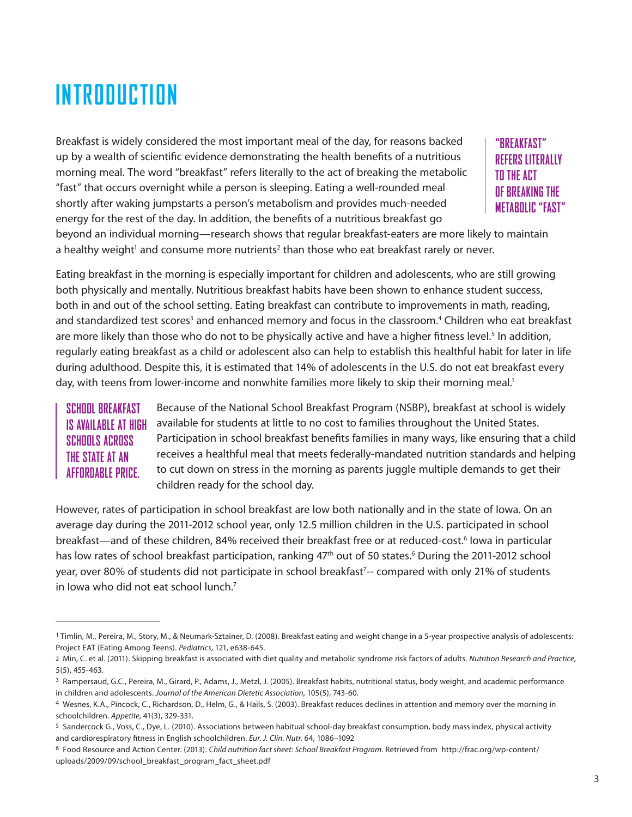# **INTRODUCTION**

Breakfast is widely considered the most important meal of the day, for reasons backed up by a wealth of scientifc evidence demonstrating the health benefts of a nutritious morning meal. The word "breakfast" refers literally to the act of breaking the metabolic "fast" that occurs overnight while a person is sleeping. Eating a well-rounded meal shortly after waking jumpstarts a person's metabolism and provides much-needed energy for the rest of the day. In addition, the benefts of a nutritious breakfast go

**"BREAKFAST" REFERS LITERALLY TO THE ACT OF BREAKING THE METABOLIC "FAST"** 

beyond an individual morning—research shows that regular breakfast-eaters are more likely to maintain a healthy weight<sup>1</sup> and consume more nutrients<sup>2</sup> than those who eat breakfast rarely or never.

Eating breakfast in the morning is especially important for children and adolescents, who are still growing both physically and mentally. Nutritious breakfast habits have been shown to enhance student success, both in and out of the school setting. Eating breakfast can contribute to improvements in math, reading, and standardized test scores<sup>3</sup> and enhanced memory and focus in the classroom.<sup>4</sup> Children who eat breakfast are more likely than those who do not to be physically active and have a higher fitness level.<sup>5</sup> In addition, regularly eating breakfast as a child or adolescent also can help to establish this healthful habit for later in life during adulthood. Despite this, it is estimated that 14% of adolescents in the U.S. do not eat breakfast every day, with teens from lower-income and nonwhite families more likely to skip their morning meal.<sup>1</sup>

#### **SCHOOL BREAKFAST IS AVAILABLE AT HIGH SCHOOLS ACROSS THE STATE AT AN AFFORDABLE PRICE.**

Because of the National School Breakfast Program (NSBP), breakfast at school is widely available for students at little to no cost to families throughout the United States. Participation in school breakfast benefts families in many ways, like ensuring that a child receives a healthful meal that meets federally-mandated nutrition standards and helping to cut down on stress in the morning as parents juggle multiple demands to get their children ready for the school day.

However, rates of participation in school breakfast are low both nationally and in the state of Iowa. On an average day during the 2011-2012 school year, only 12.5 million children in the U.S. participated in school breakfast—and of these children, 84% received their breakfast free or at reduced-cost.<sup>6</sup> lowa in particular has low rates of school breakfast participation, ranking 47<sup>th</sup> out of 50 states.<sup>6</sup> During the 2011-2012 school year, over 80% of students did not participate in school breakfast<sup>7</sup>-- compared with only 21% of students in Iowa who did not eat school lunch.<sup>7</sup>

<sup>1</sup> Timlin, M., Pereira, M., Story, M., & Neumark-Sztainer, D. (2008). Breakfast eating and weight change in a 5-year prospective analysis of adolescents: Project EAT (Eating Among Teens). *Pediatrics*, 121, e638-645.

<sup>2</sup> Min, C. et al. (2011). Skipping breakfast is associated with diet quality and metabolic syndrome risk factors of adults. *Nutrition Research and Practice*, 5(5), 455-463.

<sup>3</sup> Rampersaud, G.C., Pereira, M., Girard, P., Adams, J., Metzl, J. (2005). Breakfast habits, nutritional status, body weight, and academic performance in children and adolescents. *Journal of the American Dietetic Association*, 105(5), 743-60.

<sup>4</sup> Wesnes, K.A., Pincock, C., Richardson, D., Helm, G., & Hails, S. (2003). Breakfast reduces declines in attention and memory over the morning in schoolchildren. *Appetite*, 41(3), 329-331.

<sup>5</sup> Sandercock G., Voss, C., Dye, L. (2010). Associations between habitual school-day breakfast consumption, body mass index, physical activity and cardiorespiratory ftness in English schoolchildren. *Eur. J. Clin. Nutr.* 64, 1086–1092

<sup>6</sup> Food Resource and Action Center. (2013). *Child nutrition fact sheet: School Breakfast Program*. Retrieved from [http://frac.org/wp-content/](http://frac.org/wp-content) uploads/2009/09/school\_breakfast\_program\_fact\_sheet.pdf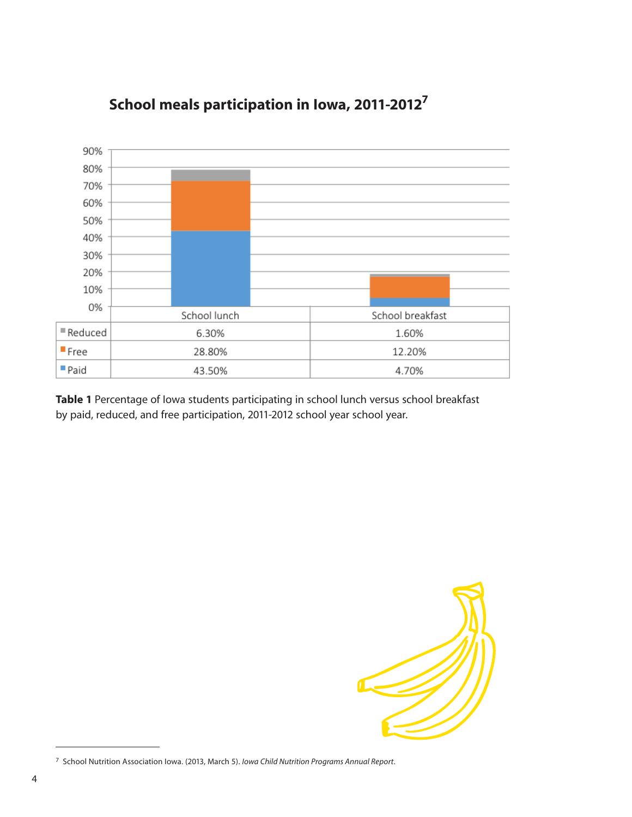

### **school meals participation in Iowa, 2011-20127**

**table 1** Percentage of Iowa students participating in school lunch versus school breakfast by paid, reduced, and free participation, 2011-2012 school year school year.



<sup>7</sup> School Nutrition Association Iowa. (2013, March 5). *Iowa Child Nutrition Programs Annual Report*.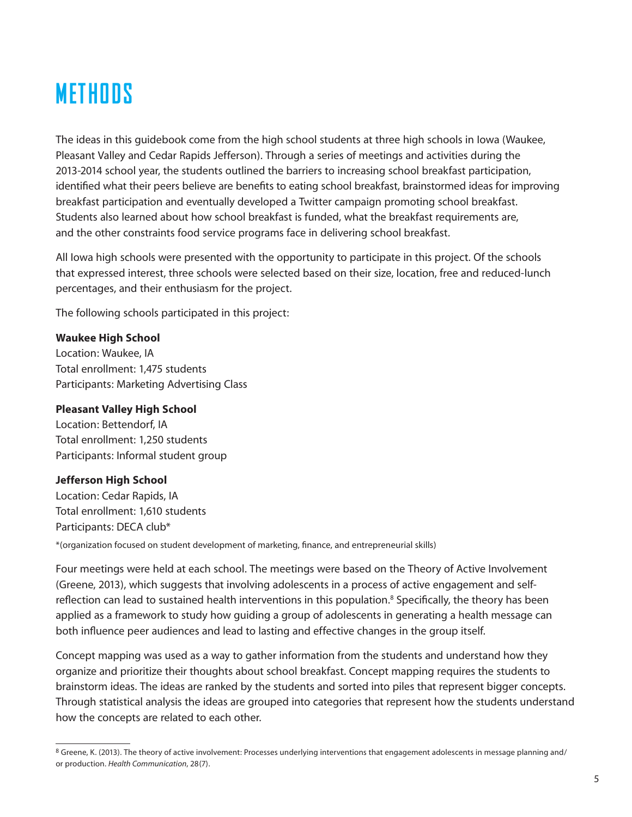# **METHODS**

The ideas in this guidebook come from the high school students at three high schools in Iowa (Waukee, Pleasant Valley and Cedar Rapids Jefferson). Through a series of meetings and activities during the 2013-2014 school year, the students outlined the barriers to increasing school breakfast participation, identifed what their peers believe are benefts to eating school breakfast, brainstormed ideas for improving breakfast participation and eventually developed a Twitter campaign promoting school breakfast. Students also learned about how school breakfast is funded, what the breakfast requirements are, and the other constraints food service programs face in delivering school breakfast.

All Iowa high schools were presented with the opportunity to participate in this project. Of the schools that expressed interest, three schools were selected based on their size, location, free and reduced-lunch percentages, and their enthusiasm for the project.

The following schools participated in this project:

#### **Waukee high school**

Location: Waukee, IA Total enrollment: 1,475 students Participants: Marketing Advertising Class

#### **Pleasant Valley high school**

Location: Bettendorf, IA Total enrollment: 1,250 students Participants: Informal student group

#### **Jefferson high school**

Location: Cedar Rapids, IA Total enrollment: 1,610 students Participants: DECA club\*

\*(organization focused on student development of marketing, fnance, and entrepreneurial skills)

Four meetings were held at each school. The meetings were based on the Theory of Active Involvement (Greene, 2013), which suggests that involving adolescents in a process of active engagement and selfreflection can lead to sustained health interventions in this population.<sup>8</sup> Specifically, the theory has been applied as a framework to study how guiding a group of adolescents in generating a health message can both infuence peer audiences and lead to lasting and effective changes in the group itself.

Concept mapping was used as a way to gather information from the students and understand how they organize and prioritize their thoughts about school breakfast. Concept mapping requires the students to brainstorm ideas. The ideas are ranked by the students and sorted into piles that represent bigger concepts. Through statistical analysis the ideas are grouped into categories that represent how the students understand how the concepts are related to each other.

<sup>8</sup> Greene, K. (2013). The theory of active involvement: Processes underlying interventions that engagement adolescents in message planning and/ or production. *Health Communication*, 28(7).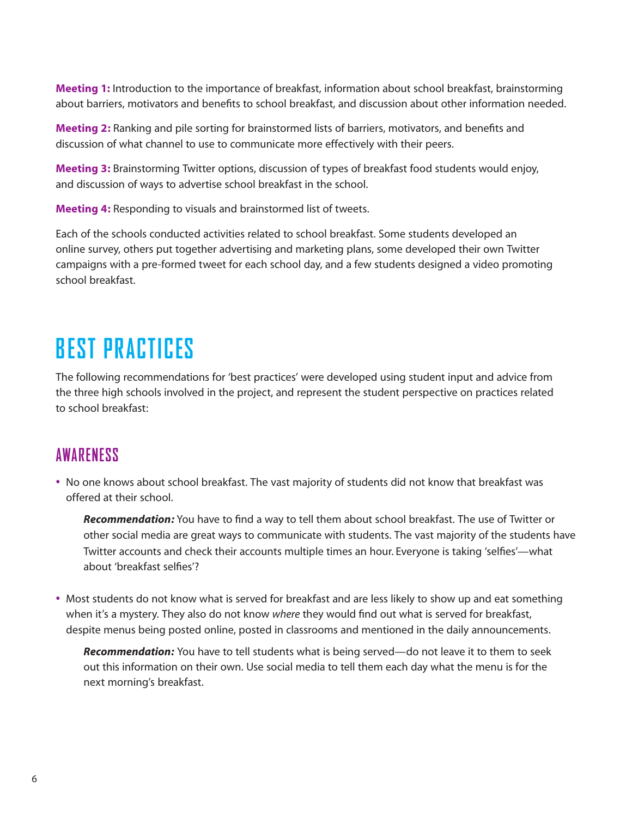**Meeting 1:** Introduction to the importance of breakfast, information about school breakfast, brainstorming about barriers, motivators and benefts to school breakfast, and discussion about other information needed.

**Meeting 2:** Ranking and pile sorting for brainstormed lists of barriers, motivators, and benefts and discussion of what channel to use to communicate more effectively with their peers.

**Meeting 3:** Brainstorming Twitter options, discussion of types of breakfast food students would enjoy, and discussion of ways to advertise school breakfast in the school.

**Meeting 4:** Responding to visuals and brainstormed list of tweets.

Each of the schools conducted activities related to school breakfast. Some students developed an online survey, others put together advertising and marketing plans, some developed their own Twitter campaigns with a pre-formed tweet for each school day, and a few students designed a video promoting school breakfast.

# **BEST PRACTICES**

The following recommendations for 'best practices' were developed using student input and advice from the three high schools involved in the project, and represent the student perspective on practices related to school breakfast:

#### **AWARENESS**

• No one knows about school breakfast. The vast majority of students did not know that breakfast was offered at their school.

*Recommendation:* You have to fnd a way to tell them about school breakfast. The use of Twitter or other social media are great ways to communicate with students. The vast majority of the students have Twitter accounts and check their accounts multiple times an hour. Everyone is taking 'selfes'—what about 'breakfast selfes'?

• Most students do not know what is served for breakfast and are less likely to show up and eat something when it's a mystery. They also do not know *where* they would fnd out what is served for breakfast, despite menus being posted online, posted in classrooms and mentioned in the daily announcements.

*Recommendation:* You have to tell students what is being served—do not leave it to them to seek out this information on their own. Use social media to tell them each day what the menu is for the next morning's breakfast.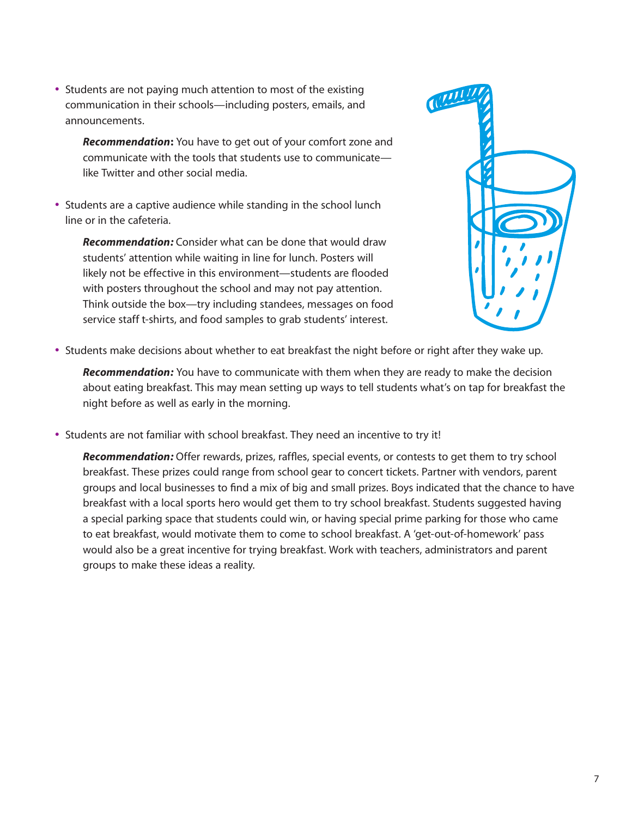• Students are not paying much attention to most of the existing communication in their schools—including posters, emails, and announcements.

*Recommendation***:** You have to get out of your comfort zone and communicate with the tools that students use to communicate like Twitter and other social media.

• Students are a captive audience while standing in the school lunch line or in the cafeteria.

*Recommendation:* Consider what can be done that would draw students' attention while waiting in line for lunch. Posters will likely not be effective in this environment—students are fooded with posters throughout the school and may not pay attention. Think outside the box—try including standees, messages on food service staff t-shirts, and food samples to grab students' interest.



• Students make decisions about whether to eat breakfast the night before or right after they wake up.

*Recommendation:* You have to communicate with them when they are ready to make the decision about eating breakfast. This may mean setting up ways to tell students what's on tap for breakfast the night before as well as early in the morning.

• Students are not familiar with school breakfast. They need an incentive to try it!

*Recommendation:* Offer rewards, prizes, raffes, special events, or contests to get them to try school breakfast. These prizes could range from school gear to concert tickets. Partner with vendors, parent groups and local businesses to fnd a mix of big and small prizes. Boys indicated that the chance to have breakfast with a local sports hero would get them to try school breakfast. Students suggested having a special parking space that students could win, or having special prime parking for those who came to eat breakfast, would motivate them to come to school breakfast. A 'get-out-of-homework' pass would also be a great incentive for trying breakfast. Work with teachers, administrators and parent groups to make these ideas a reality.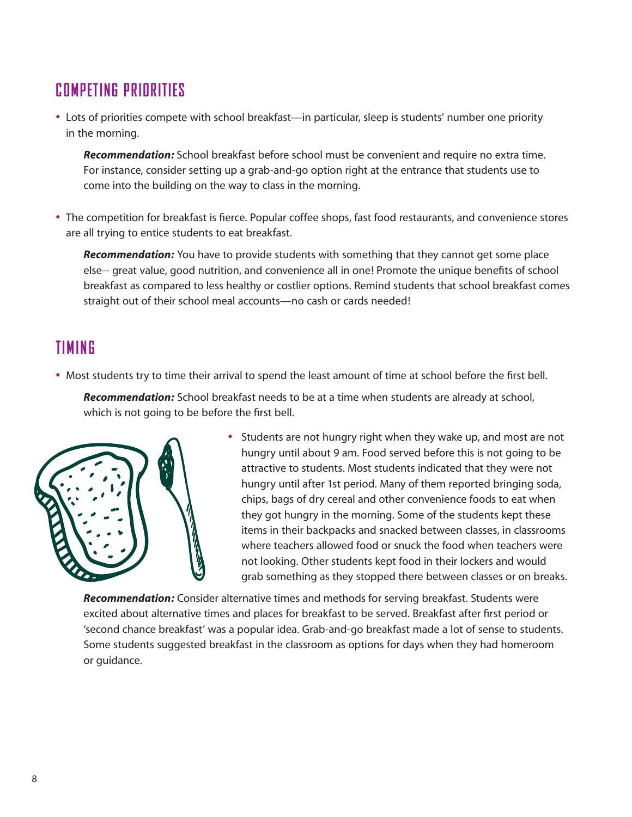### **COMPETING PRIORITIES**

• Lots of priorities compete with school breakfast—in particular, sleep is students' number one priority in the morning.

*Recommendation:* School breakfast before school must be convenient and require no extra time. For instance, consider setting up a grab-and-go option right at the entrance that students use to come into the building on the way to class in the morning.

• The competition for breakfast is ferce. Popular coffee shops, fast food restaurants, and convenience stores are all trying to entice students to eat breakfast.

*Recommendation:* You have to provide students with something that they cannot get some place else-- great value, good nutrition, and convenience all in one! Promote the unique benefts of school breakfast as compared to less healthy or costlier options. Remind students that school breakfast comes straight out of their school meal accounts—no cash or cards needed!

### **TIMING**

• Most students try to time their arrival to spend the least amount of time at school before the frst bell.

*Recommendation:* School breakfast needs to be at a time when students are already at school, which is not going to be before the frst bell.



• Students are not hungry right when they wake up, and most are not hungry until about 9 am. Food served before this is not going to be attractive to students. Most students indicated that they were not hungry until after 1st period. Many of them reported bringing soda, chips, bags of dry cereal and other convenience foods to eat when they got hungry in the morning. Some of the students kept these items in their backpacks and snacked between classes, in classrooms where teachers allowed food or snuck the food when teachers were not looking. Other students kept food in their lockers and would grab something as they stopped there between classes or on breaks.

*Recommendation:* Consider alternative times and methods for serving breakfast. Students were excited about alternative times and places for breakfast to be served. Breakfast after frst period or 'second chance breakfast' was a popular idea. Grab-and-go breakfast made a lot of sense to students. Some students suggested breakfast in the classroom as options for days when they had homeroom or guidance.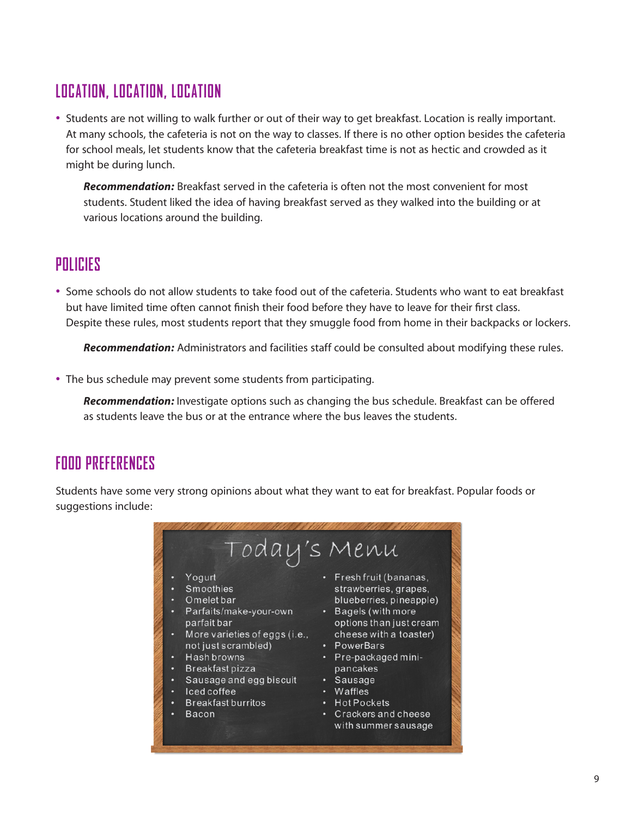### **LOCATION, LOCATION, LOCATION**

• Students are not willing to walk further or out of their way to get breakfast. Location is really important. At many schools, the cafeteria is not on the way to classes. If there is no other option besides the cafeteria for school meals, let students know that the cafeteria breakfast time is not as hectic and crowded as it might be during lunch.

*Recommendation:* Breakfast served in the cafeteria is often not the most convenient for most students. Student liked the idea of having breakfast served as they walked into the building or at various locations around the building.

#### **POLICIES**

• Some schools do not allow students to take food out of the cafeteria. Students who want to eat breakfast but have limited time often cannot fnish their food before they have to leave for their frst class. Despite these rules, most students report that they smuggle food from home in their backpacks or lockers.

*Recommendation:* Administrators and facilities staff could be consulted about modifying these rules.

• The bus schedule may prevent some students from participating.

*Recommendation:* Investigate options such as changing the bus schedule. Breakfast can be offered as students leave the bus or at the entrance where the bus leaves the students.

#### **FOOD PREFERENCES**

Students have some very strong opinions about what they want to eat for breakfast. Popular foods or suggestions include:

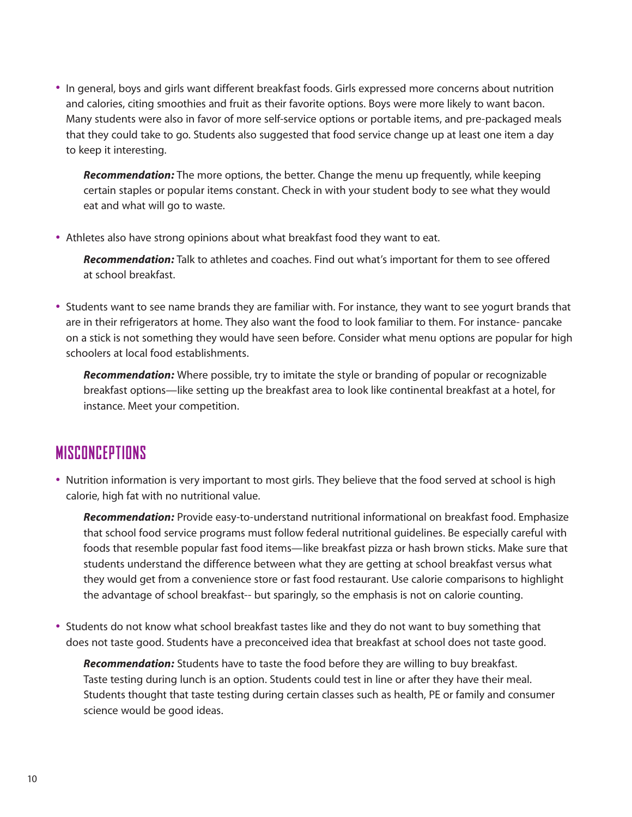• In general, boys and girls want different breakfast foods. Girls expressed more concerns about nutrition and calories, citing smoothies and fruit as their favorite options. Boys were more likely to want bacon. Many students were also in favor of more self-service options or portable items, and pre-packaged meals that they could take to go. Students also suggested that food service change up at least one item a day to keep it interesting.

*Recommendation:* The more options, the better. Change the menu up frequently, while keeping certain staples or popular items constant. Check in with your student body to see what they would eat and what will go to waste.

• Athletes also have strong opinions about what breakfast food they want to eat.

*Recommendation:* Talk to athletes and coaches. Find out what's important for them to see offered at school breakfast.

• Students want to see name brands they are familiar with. For instance, they want to see yogurt brands that are in their refrigerators at home. They also want the food to look familiar to them. For instance- pancake on a stick is not something they would have seen before. Consider what menu options are popular for high schoolers at local food establishments.

*Recommendation:* Where possible, try to imitate the style or branding of popular or recognizable breakfast options—like setting up the breakfast area to look like continental breakfast at a hotel, for instance. Meet your competition.

#### **MISCONCEPTIONS**

• Nutrition information is very important to most girls. They believe that the food served at school is high calorie, high fat with no nutritional value.

*Recommendation:* Provide easy-to-understand nutritional informational on breakfast food. Emphasize that school food service programs must follow federal nutritional guidelines. Be especially careful with foods that resemble popular fast food items—like breakfast pizza or hash brown sticks. Make sure that students understand the difference between what they are getting at school breakfast versus what they would get from a convenience store or fast food restaurant. Use calorie comparisons to highlight the advantage of school breakfast-- but sparingly, so the emphasis is not on calorie counting.

• Students do not know what school breakfast tastes like and they do not want to buy something that does not taste good. Students have a preconceived idea that breakfast at school does not taste good.

*Recommendation:* Students have to taste the food before they are willing to buy breakfast. Taste testing during lunch is an option. Students could test in line or after they have their meal. Students thought that taste testing during certain classes such as health, PE or family and consumer science would be good ideas.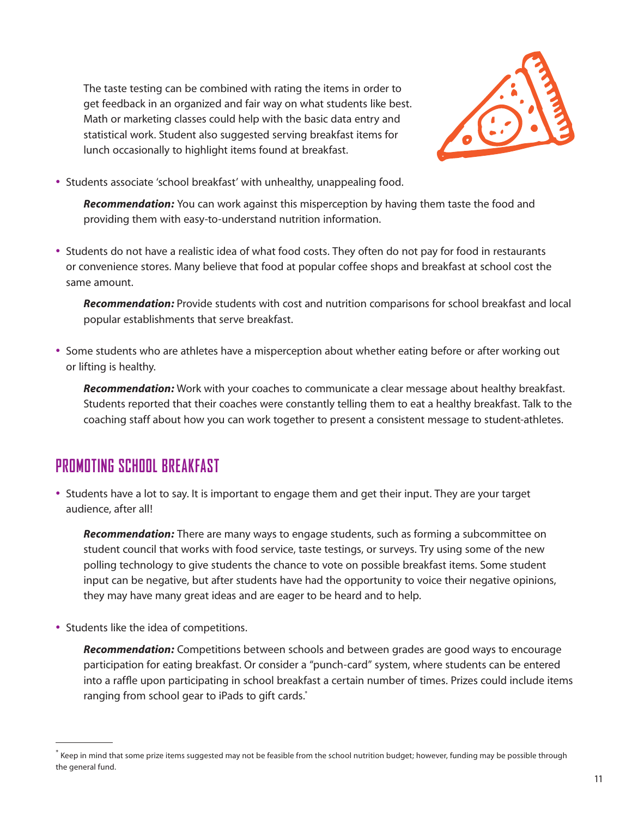The taste testing can be combined with rating the items in order to get feedback in an organized and fair way on what students like best. Math or marketing classes could help with the basic data entry and statistical work. Student also suggested serving breakfast items for lunch occasionally to highlight items found at breakfast.



• Students associate 'school breakfast' with unhealthy, unappealing food.

*Recommendation:* You can work against this misperception by having them taste the food and providing them with easy-to-understand nutrition information.

• Students do not have a realistic idea of what food costs. They often do not pay for food in restaurants or convenience stores. Many believe that food at popular coffee shops and breakfast at school cost the same amount.

*Recommendation:* Provide students with cost and nutrition comparisons for school breakfast and local popular establishments that serve breakfast.

• Some students who are athletes have a misperception about whether eating before or after working out or lifting is healthy.

*Recommendation:* Work with your coaches to communicate a clear message about healthy breakfast. Students reported that their coaches were constantly telling them to eat a healthy breakfast. Talk to the coaching staff about how you can work together to present a consistent message to student-athletes.

### **PROMOTING SCHOOL BREAKFAST**

• Students have a lot to say. It is important to engage them and get their input. They are your target audience, after all!

*Recommendation:* There are many ways to engage students, such as forming a subcommittee on student council that works with food service, taste testings, or surveys. Try using some of the new polling technology to give students the chance to vote on possible breakfast items. Some student input can be negative, but after students have had the opportunity to voice their negative opinions, they may have many great ideas and are eager to be heard and to help.

• Students like the idea of competitions.

*Recommendation:* Competitions between schools and between grades are good ways to encourage participation for eating breakfast. Or consider a "punch-card" system, where students can be entered into a raffe upon participating in school breakfast a certain number of times. Prizes could include items ranging from school gear to iPads to gift cards.\*

<sup>\*</sup> Keep in mind that some prize items suggested may not be feasible from the school nutrition budget; however, funding may be possible through the general fund.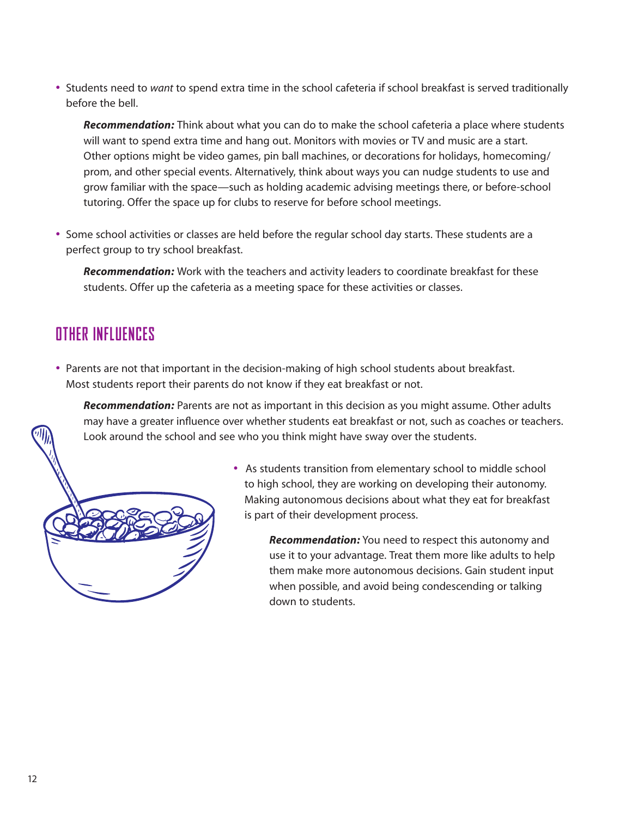• Students need to *want* to spend extra time in the school cafeteria if school breakfast is served traditionally before the bell.

*Recommendation:* Think about what you can do to make the school cafeteria a place where students will want to spend extra time and hang out. Monitors with movies or TV and music are a start. Other options might be video games, pin ball machines, or decorations for holidays, homecoming/ prom, and other special events. Alternatively, think about ways you can nudge students to use and grow familiar with the space—such as holding academic advising meetings there, or before-school tutoring. Offer the space up for clubs to reserve for before school meetings.

• Some school activities or classes are held before the regular school day starts. These students are a perfect group to try school breakfast.

*Recommendation:* Work with the teachers and activity leaders to coordinate breakfast for these students. Offer up the cafeteria as a meeting space for these activities or classes.

### **OTHER INFLUENCES**

• Parents are not that important in the decision-making of high school students about breakfast. Most students report their parents do not know if they eat breakfast or not.

*Recommendation:* Parents are not as important in this decision as you might assume. Other adults may have a greater infuence over whether students eat breakfast or not, such as coaches or teachers. Look around the school and see who you think might have sway over the students.



• As students transition from elementary school to middle school to high school, they are working on developing their autonomy. Making autonomous decisions about what they eat for breakfast is part of their development process.

> *Recommendation:* You need to respect this autonomy and use it to your advantage. Treat them more like adults to help them make more autonomous decisions. Gain student input when possible, and avoid being condescending or talking down to students.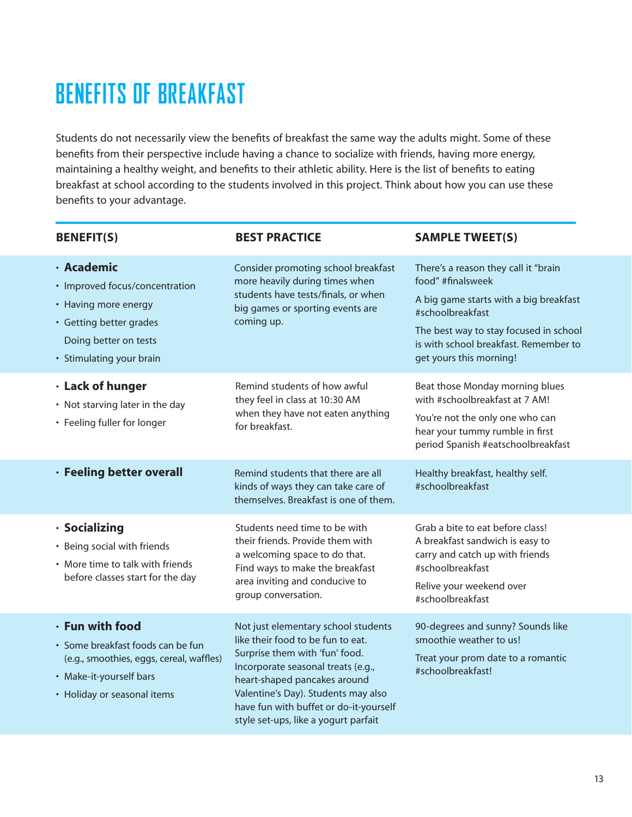# **BENEFITS OF BREAKFAST**

Students do not necessarily view the benefts of breakfast the same way the adults might. Some of these benefts from their perspective include having a chance to socialize with friends, having more energy, maintaining a healthy weight, and benefts to their athletic ability. Here is the list of benefts to eating breakfast at school according to the students involved in this project. Think about how you can use these benefts to your advantage.

| <b>BENEFIT(S)</b>                                                                                                                                          | <b>BEST PRACTICE</b>                                                                                                                                                                                                                                                                                      | <b>SAMPLE TWEET(S)</b>                                                                                                                                                                                                                |
|------------------------------------------------------------------------------------------------------------------------------------------------------------|-----------------------------------------------------------------------------------------------------------------------------------------------------------------------------------------------------------------------------------------------------------------------------------------------------------|---------------------------------------------------------------------------------------------------------------------------------------------------------------------------------------------------------------------------------------|
| · Academic<br>• Improved focus/concentration<br>• Having more energy<br>• Getting better grades<br>Doing better on tests<br>• Stimulating your brain       | Consider promoting school breakfast<br>more heavily during times when<br>students have tests/finals, or when<br>big games or sporting events are<br>coming up.                                                                                                                                            | There's a reason they call it "brain<br>food" #finalsweek<br>A big game starts with a big breakfast<br>#schoolbreakfast<br>The best way to stay focused in school<br>is with school breakfast. Remember to<br>get yours this morning! |
| · Lack of hunger<br>• Not starving later in the day<br>• Feeling fuller for longer                                                                         | Remind students of how awful<br>they feel in class at 10:30 AM<br>when they have not eaten anything<br>for breakfast.                                                                                                                                                                                     | Beat those Monday morning blues<br>with #schoolbreakfast at 7 AM!<br>You're not the only one who can<br>hear your tummy rumble in first<br>period Spanish #eatschoolbreakfast                                                         |
| · Feeling better overall                                                                                                                                   | Remind students that there are all<br>kinds of ways they can take care of<br>themselves. Breakfast is one of them.                                                                                                                                                                                        | Healthy breakfast, healthy self.<br>#schoolbreakfast                                                                                                                                                                                  |
| · Socializing<br>• Being social with friends<br>• More time to talk with friends<br>before classes start for the day                                       | Students need time to be with<br>their friends. Provide them with<br>a welcoming space to do that.<br>Find ways to make the breakfast<br>area inviting and conducive to<br>group conversation.                                                                                                            | Grab a bite to eat before class!<br>A breakfast sandwich is easy to<br>carry and catch up with friends<br>#schoolbreakfast<br>Relive your weekend over<br>#schoolbreakfast                                                            |
| · Fun with food<br>· Some breakfast foods can be fun<br>(e.g., smoothies, eggs, cereal, waffles)<br>• Make-it-yourself bars<br>• Holiday or seasonal items | Not just elementary school students<br>like their food to be fun to eat.<br>Surprise them with 'fun' food.<br>Incorporate seasonal treats (e.g.,<br>heart-shaped pancakes around<br>Valentine's Day). Students may also<br>have fun with buffet or do-it-yourself<br>style set-ups, like a yogurt parfait | 90-degrees and sunny? Sounds like<br>smoothie weather to us!<br>Treat your prom date to a romantic<br>#schoolbreakfast!                                                                                                               |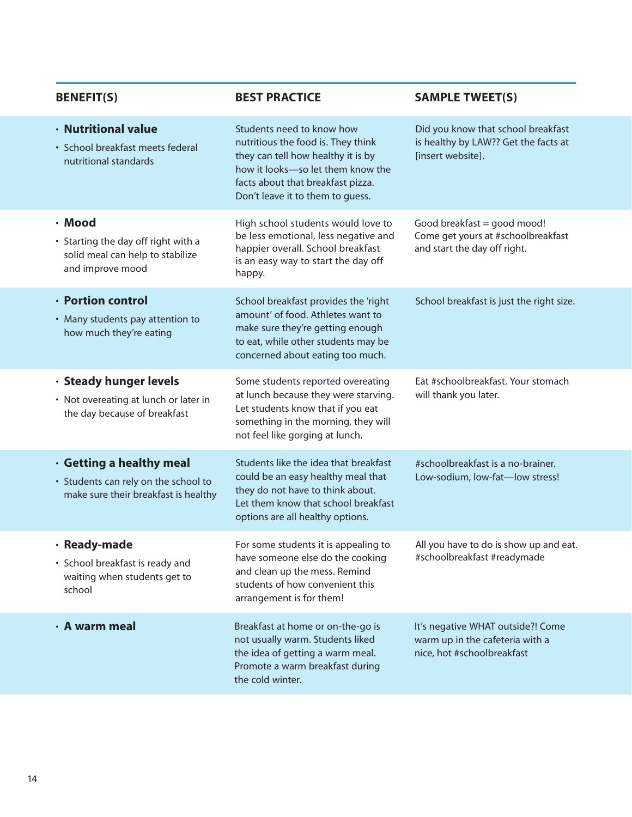| <b>BENEFIT(S)</b>                                                                                        | <b>BEST PRACTICE</b>                                                                                                                                                                                                | <b>SAMPLE TWEET(S)</b>                                                                             |
|----------------------------------------------------------------------------------------------------------|---------------------------------------------------------------------------------------------------------------------------------------------------------------------------------------------------------------------|----------------------------------------------------------------------------------------------------|
| · Nutritional value<br>· School breakfast meets federal<br>nutritional standards                         | Students need to know how<br>nutritious the food is. They think<br>they can tell how healthy it is by<br>how it looks-so let them know the<br>facts about that breakfast pizza.<br>Don't leave it to them to guess. | Did you know that school breakfast<br>is healthy by LAW?? Get the facts at<br>[insert website].    |
| · Mood<br>• Starting the day off right with a<br>solid meal can help to stabilize<br>and improve mood    | High school students would love to<br>be less emotional, less negative and<br>happier overall. School breakfast<br>is an easy way to start the day off<br>happy.                                                    | Good breakfast = good mood!<br>Come get yours at #schoolbreakfast<br>and start the day off right.  |
| · Portion control<br>• Many students pay attention to<br>how much they're eating                         | School breakfast provides the 'right<br>amount' of food. Athletes want to<br>make sure they're getting enough<br>to eat, while other students may be<br>concerned about eating too much.                            | School breakfast is just the right size.                                                           |
| · Steady hunger levels<br>• Not overeating at lunch or later in<br>the day because of breakfast          | Some students reported overeating<br>at lunch because they were starving.<br>Let students know that if you eat<br>something in the morning, they will<br>not feel like gorging at lunch.                            | Eat #schoolbreakfast. Your stomach<br>will thank you later.                                        |
| · Getting a healthy meal<br>• Students can rely on the school to<br>make sure their breakfast is healthy | Students like the idea that breakfast<br>could be an easy healthy meal that<br>they do not have to think about.<br>Let them know that school breakfast<br>options are all healthy options.                          | #schoolbreakfast is a no-brainer.<br>Low-sodium, low-fat-low stress!                               |
| · Ready-made<br>• School breakfast is ready and<br>waiting when students get to<br>school                | For some students it is appealing to<br>have someone else do the cooking<br>and clean up the mess. Remind<br>students of how convenient this<br>arrangement is for them!                                            | All you have to do is show up and eat.<br>#schoolbreakfast #readymade                              |
| · A warm meal                                                                                            | Breakfast at home or on-the-go is<br>not usually warm. Students liked<br>the idea of getting a warm meal.<br>Promote a warm breakfast during<br>the cold winter.                                                    | It's negative WHAT outside?! Come<br>warm up in the cafeteria with a<br>nice, hot #schoolbreakfast |